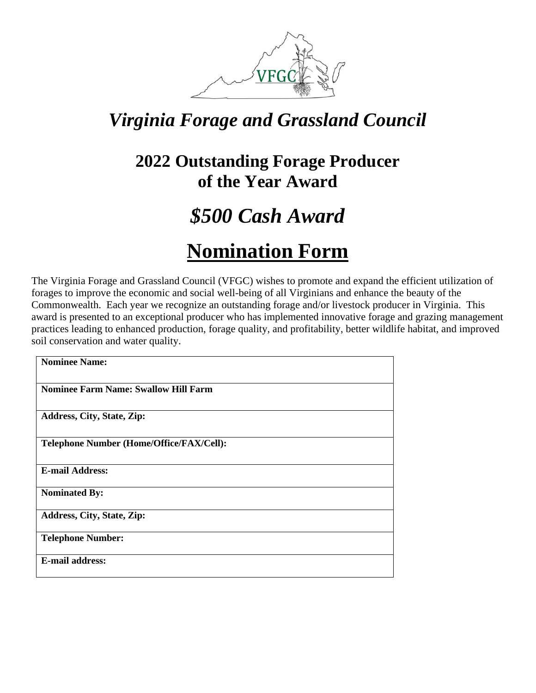

### *Virginia Forage and Grassland Council*

#### **2022 Outstanding Forage Producer of the Year Award**

# *\$500 Cash Award*

## **Nomination Form**

The Virginia Forage and Grassland Council (VFGC) wishes to promote and expand the efficient utilization of forages to improve the economic and social well-being of all Virginians and enhance the beauty of the Commonwealth. Each year we recognize an outstanding forage and/or livestock producer in Virginia. This award is presented to an exceptional producer who has implemented innovative forage and grazing management practices leading to enhanced production, forage quality, and profitability, better wildlife habitat, and improved soil conservation and water quality.

| <b>Nominee Name:</b>                        |
|---------------------------------------------|
| <b>Nominee Farm Name: Swallow Hill Farm</b> |
| Address, City, State, Zip:                  |
| Telephone Number (Home/Office/FAX/Cell):    |
| <b>E-mail Address:</b>                      |
| <b>Nominated By:</b>                        |
| Address, City, State, Zip:                  |
| <b>Telephone Number:</b>                    |
| <b>E-mail address:</b>                      |